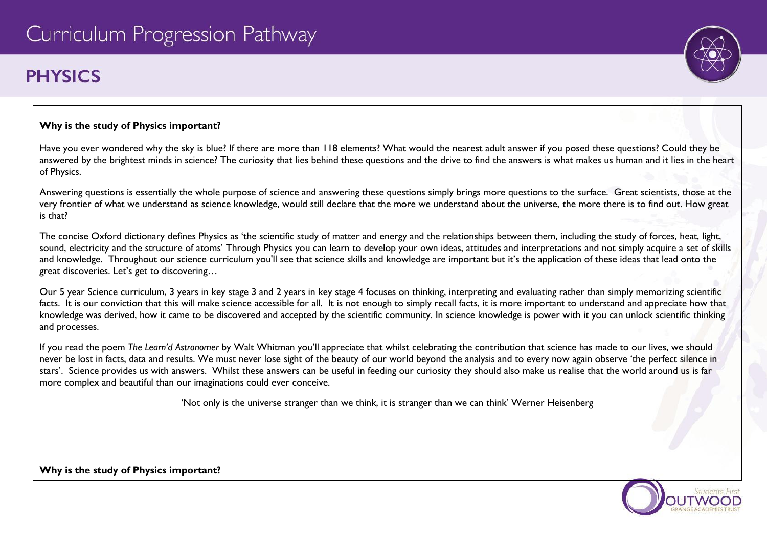# **PHYSICS**

# **Why is the study of Physics important?**

Have you ever wondered why the sky is blue? If there are more than 118 elements? What would the nearest adult answer if you posed these questions? Could they be answered by the brightest minds in science? The curiosity that lies behind these questions and the drive to find the answers is what makes us human and it lies in the heart of Physics.

Answering questions is essentially the whole purpose of science and answering these questions simply brings more questions to the surface. Great scientists, those at the very frontier of what we understand as science knowledge, would still declare that the more we understand about the universe, the more there is to find out. How great is that?

The concise Oxford dictionary defines Physics as 'the scientific study of matter and energy and the relationships between them, including the study of forces, heat, light, sound, electricity and the structure of atoms' Through Physics you can learn to develop your own ideas, attitudes and interpretations and not simply acquire a set of skills and knowledge. Throughout our science curriculum you'll see that science skills and knowledge are important but it's the application of these ideas that lead onto the great discoveries. Let's get to discovering…

Our 5 year Science curriculum, 3 years in key stage 3 and 2 years in key stage 4 focuses on thinking, interpreting and evaluating rather than simply memorizing scientific facts. It is our conviction that this will make science accessible for all. It is not enough to simply recall facts, it is more important to understand and appreciate how that knowledge was derived, how it came to be discovered and accepted by the scientific community. In science knowledge is power with it you can unlock scientific thinking and processes.

If you read the poem *The Learn'd Astronomer* by Walt Whitman you'll appreciate that whilst celebrating the contribution that science has made to our lives, we should never be lost in facts, data and results. We must never lose sight of the beauty of our world beyond the analysis and to every now again observe 'the perfect silence in stars'. Science provides us with answers. Whilst these answers can be useful in feeding our curiosity they should also make us realise that the world around us is far more complex and beautiful than our imaginations could ever conceive.

'Not only is the universe stranger than we think, it is stranger than we can think' Werner Heisenberg



**Why is the study of Physics important?**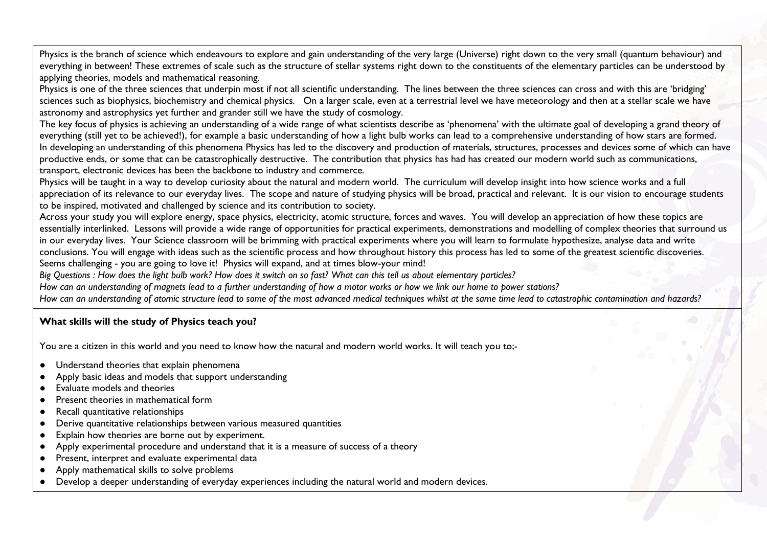Physics is the branch of science which endeavours to explore and gain understanding of the very large (Universe) right down to the very small (quantum behaviour) and everything in between! These extremes of scale such as the structure of stellar systems right down to the constituents of the elementary particles can be understood by applying theories, models and mathematical reasoning.

Physics is one of the three sciences that underpin most if not all scientific understanding. The lines between the three sciences can cross and with this are 'bridging' sciences such as biophysics, biochemistry and chemical physics. On a larger scale, even at a terrestrial level we have meteorology and then at a stellar scale we have astronomy and astrophysics yet further and grander still we have the study of cosmology.

The key focus of physics is achieving an understanding of a wide range of what scientists describe as 'phenomena' with the ultimate goal of developing a grand theory of everything (still yet to be achieved!), for example a basic understanding of how a light bulb works can lead to a comprehensive understanding of how stars are formed. In developing an understanding of this phenomena Physics has led to the discovery and production of materials, structures, processes and devices some of which can have productive ends, or some that can be catastrophically destructive. The contribution that physics has had has created our modern world such as communications, transport, electronic devices has been the backbone to industry and commerce.

Physics will be taught in a way to develop curiosity about the natural and modern world. The curriculum will develop insight into how science works and a full appreciation of its relevance to our everyday lives. The scope and nature of studying physics will be broad, practical and relevant. It is our vision to encourage students to be inspired, motivated and challenged by science and its contribution to society.

Across your study you will explore energy, space physics, electricity, atomic structure, forces and waves. You will develop an appreciation of how these topics are essentially interlinked. Lessons will provide a wide range of opportunities for practical experiments, demonstrations and modelling of complex theories that surround us in our everyday lives. Your Science classroom will be brimming with practical experiments where you will learn to formulate hypothesize, analyse data and write conclusions. You will engage with ideas such as the scientific process and how throughout history this process has led to some of the greatest scientific discoveries. Seems challenging - you are going to love it! Physics will expand, and at times blow-your mind!

*Big Questions : How does the light bulb work? How does it switch on so fast? What can this tell us about elementary particles?*

*How can an understanding of magnets lead to a further understanding of how a motor works or how we link our home to power stations?*

*How can an understanding of atomic structure lead to some of the most advanced medical techniques whilst at the same time lead to catastrophic contamination and hazards?*

# **What skills will the study of Physics teach you?**

You are a citizen in this world and you need to know how the natural and modern world works. It will teach you to;-

- Understand theories that explain phenomena
- Apply basic ideas and models that support understanding
- Evaluate models and theories
- Present theories in mathematical form
- Recall quantitative relationships
- Derive quantitative relationships between various measured quantities
- Explain how theories are borne out by experiment.
- Apply experimental procedure and understand that it is a measure of success of a theory
- Present, interpret and evaluate experimental data
- Apply mathematical skills to solve problems
- Develop a deeper understanding of everyday experiences including the natural world and modern devices.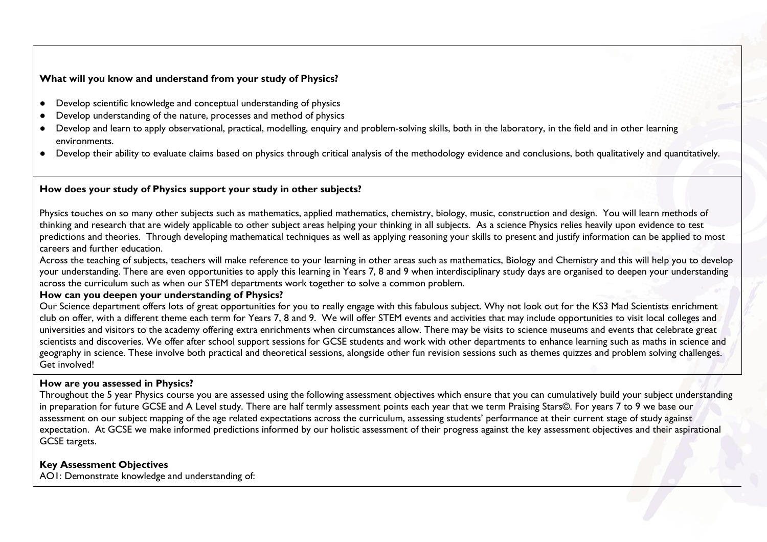### **What will you know and understand from your study of Physics?**

- Develop scientific knowledge and conceptual understanding of physics
- Develop understanding of the nature, processes and method of physics
- Develop and learn to apply observational, practical, modelling, enquiry and problem-solving skills, both in the laboratory, in the field and in other learning environments.
- Develop their ability to evaluate claims based on physics through critical analysis of the methodology evidence and conclusions, both qualitatively and quantitatively.

#### **How does your study of Physics support your study in other subjects?**

Physics touches on so many other subjects such as mathematics, applied mathematics, chemistry, biology, music, construction and design. You will learn methods of thinking and research that are widely applicable to other subject areas helping your thinking in all subjects. As a science Physics relies heavily upon evidence to test predictions and theories. Through developing mathematical techniques as well as applying reasoning your skills to present and justify information can be applied to most careers and further education.

Across the teaching of subjects, teachers will make reference to your learning in other areas such as mathematics, Biology and Chemistry and this will help you to develop your understanding. There are even opportunities to apply this learning in Years 7, 8 and 9 when interdisciplinary study days are organised to deepen your understanding across the curriculum such as when our STEM departments work together to solve a common problem.

#### **How can you deepen your understanding of Physics?**

Our Science department offers lots of great opportunities for you to really engage with this fabulous subject. Why not look out for the KS3 Mad Scientists enrichment club on offer, with a different theme each term for Years 7, 8 and 9. We will offer STEM events and activities that may include opportunities to visit local colleges and universities and visitors to the academy offering extra enrichments when circumstances allow. There may be visits to science museums and events that celebrate great scientists and discoveries. We offer after school support sessions for GCSE students and work with other departments to enhance learning such as maths in science and geography in science. These involve both practical and theoretical sessions, alongside other fun revision sessions such as themes quizzes and problem solving challenges. Get involved!

# **How are you assessed in Physics?**

Throughout the 5 year Physics course you are assessed using the following assessment objectives which ensure that you can cumulatively build your subject understanding in preparation for future GCSE and A Level study. There are half termly assessment points each year that we term Praising Stars©. For years 7 to 9 we base our assessment on our subject mapping of the age related expectations across the curriculum, assessing students' performance at their current stage of study against expectation. At GCSE we make informed predictions informed by our holistic assessment of their progress against the key assessment objectives and their aspirational GCSE targets.

# **Key Assessment Objectives**

AO1: Demonstrate knowledge and understanding of: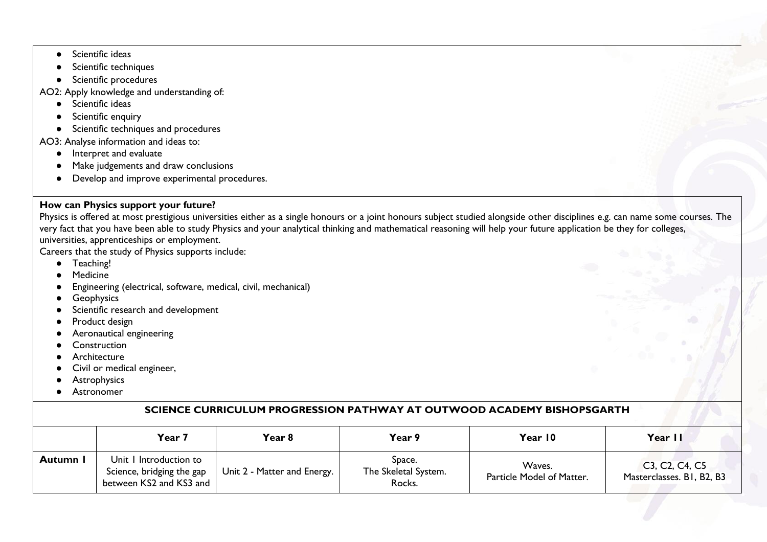- Scientific ideas
- Scientific techniques
- Scientific procedures

AO2: Apply knowledge and understanding of:

- Scientific ideas
- Scientific enquiry
- Scientific techniques and procedures

AO3: Analyse information and ideas to:

- Interpret and evaluate
- Make judgements and draw conclusions
- Develop and improve experimental procedures.

# **How can Physics support your future?**

Physics is offered at most prestigious universities either as a single honours or a joint honours subject studied alongside other disciplines e.g. can name some courses. The very fact that you have been able to study Physics and your analytical thinking and mathematical reasoning will help your future application be they for colleges, universities, apprenticeships or employment.

Careers that the study of Physics supports include:

- Teaching!
- **Medicine**
- Engineering (electrical, software, medical, civil, mechanical)
- **•** Geophysics
- Scientific research and development
- Product design
- Aeronautical engineering
- Construction
- Architecture
- Civil or medical engineer,
- **•** Astrophysics
- Astronomer

# **SCIENCE CURRICULUM PROGRESSION PATHWAY AT OUTWOOD ACADEMY BISHOPSGARTH**

|          | Year 7                                                                         | Year 8                      | Year 9                                   | Year 10                             | Year II                                     |
|----------|--------------------------------------------------------------------------------|-----------------------------|------------------------------------------|-------------------------------------|---------------------------------------------|
| Autumn I | Unit I Introduction to<br>Science, bridging the gap<br>between KS2 and KS3 and | Unit 2 - Matter and Energy. | Space.<br>The Skeletal System.<br>Rocks. | Waves.<br>Particle Model of Matter. | C3, C2, C4, C5<br>Masterclasses. B1, B2, B3 |